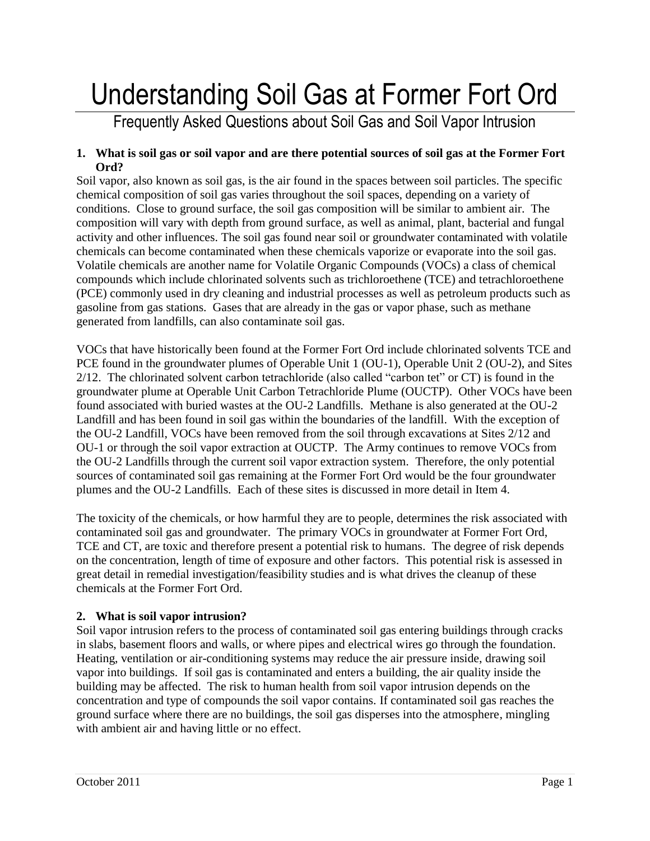# Understanding Soil Gas at Former Fort Ord

# Frequently Asked Questions about Soil Gas and Soil Vapor Intrusion

#### **1. What is soil gas or soil vapor and are there potential sources of soil gas at the Former Fort Ord?**

Soil vapor, also known as soil gas, is the air found in the spaces between soil particles. The specific chemical composition of soil gas varies throughout the soil spaces, depending on a variety of conditions. Close to ground surface, the soil gas composition will be similar to ambient air. The composition will vary with depth from ground surface, as well as animal, plant, bacterial and fungal activity and other influences. The soil gas found near soil or groundwater contaminated with volatile chemicals can become contaminated when these chemicals vaporize or evaporate into the soil gas. Volatile chemicals are another name for Volatile Organic Compounds (VOCs) a class of chemical compounds which include chlorinated solvents such as trichloroethene (TCE) and tetrachloroethene (PCE) commonly used in dry cleaning and industrial processes as well as petroleum products such as gasoline from gas stations. Gases that are already in the gas or vapor phase, such as methane generated from landfills, can also contaminate soil gas.

VOCs that have historically been found at the Former Fort Ord include chlorinated solvents TCE and PCE found in the groundwater plumes of Operable Unit 1 (OU-1), Operable Unit 2 (OU-2), and Sites 2/12. The chlorinated solvent carbon tetrachloride (also called "carbon tet" or CT) is found in the groundwater plume at Operable Unit Carbon Tetrachloride Plume (OUCTP). Other VOCs have been found associated with buried wastes at the OU-2 Landfills. Methane is also generated at the OU-2 Landfill and has been found in soil gas within the boundaries of the landfill. With the exception of the OU-2 Landfill, VOCs have been removed from the soil through excavations at Sites 2/12 and OU-1 or through the soil vapor extraction at OUCTP. The Army continues to remove VOCs from the OU-2 Landfills through the current soil vapor extraction system. Therefore, the only potential sources of contaminated soil gas remaining at the Former Fort Ord would be the four groundwater plumes and the OU-2 Landfills. Each of these sites is discussed in more detail in Item 4.

The toxicity of the chemicals, or how harmful they are to people, determines the risk associated with contaminated soil gas and groundwater. The primary VOCs in groundwater at Former Fort Ord, TCE and CT, are toxic and therefore present a potential risk to humans. The degree of risk depends on the concentration, length of time of exposure and other factors. This potential risk is assessed in great detail in remedial investigation/feasibility studies and is what drives the cleanup of these chemicals at the Former Fort Ord.

# **2. What is soil vapor intrusion?**

Soil vapor intrusion refers to the process of contaminated soil gas entering buildings through cracks in slabs, basement floors and walls, or where pipes and electrical wires go through the foundation. Heating, ventilation or air-conditioning systems may reduce the air pressure inside, drawing soil vapor into buildings. If soil gas is contaminated and enters a building, the air quality inside the building may be affected. The risk to human health from soil vapor intrusion depends on the concentration and type of compounds the soil vapor contains. If contaminated soil gas reaches the ground surface where there are no buildings, the soil gas disperses into the atmosphere, mingling with ambient air and having little or no effect.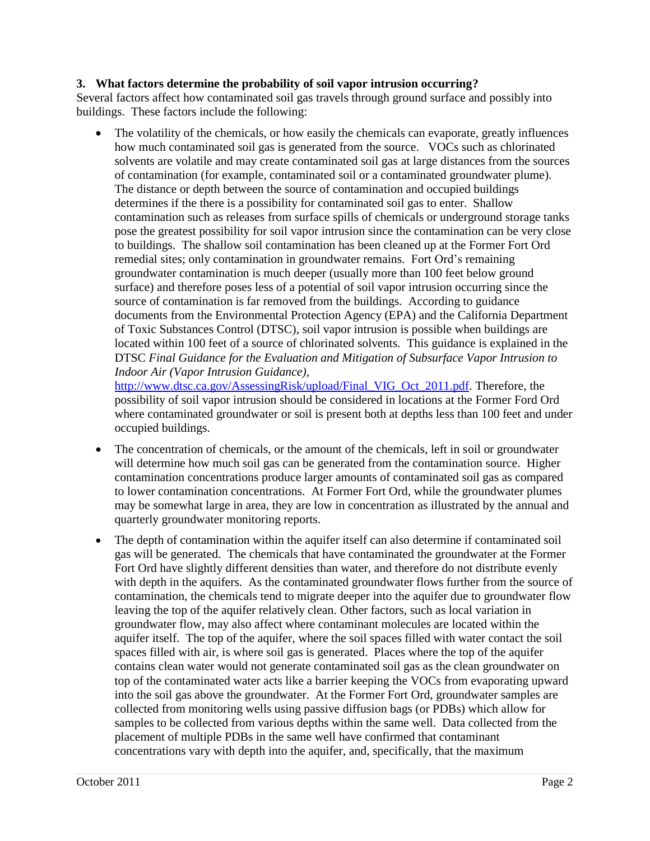#### **3. What factors determine the probability of soil vapor intrusion occurring?**

Several factors affect how contaminated soil gas travels through ground surface and possibly into buildings. These factors include the following:

 The volatility of the chemicals, or how easily the chemicals can evaporate, greatly influences how much contaminated soil gas is generated from the source. VOCs such as chlorinated solvents are volatile and may create contaminated soil gas at large distances from the sources of contamination (for example, contaminated soil or a contaminated groundwater plume). The distance or depth between the source of contamination and occupied buildings determines if the there is a possibility for contaminated soil gas to enter. Shallow contamination such as releases from surface spills of chemicals or underground storage tanks pose the greatest possibility for soil vapor intrusion since the contamination can be very close to buildings. The shallow soil contamination has been cleaned up at the Former Fort Ord remedial sites; only contamination in groundwater remains. Fort Ord's remaining groundwater contamination is much deeper (usually more than 100 feet below ground surface) and therefore poses less of a potential of soil vapor intrusion occurring since the source of contamination is far removed from the buildings. According to guidance documents from the Environmental Protection Agency (EPA) and the California Department of Toxic Substances Control (DTSC), soil vapor intrusion is possible when buildings are located within 100 feet of a source of chlorinated solvents. This guidance is explained in the DTSC *Final Guidance for the Evaluation and Mitigation of Subsurface Vapor Intrusion to Indoor Air (Vapor Intrusion Guidance),*

[http://www.dtsc.ca.gov/AssessingRisk/upload/Final\\_VIG\\_Oct\\_2011.pdf.](http://www.dtsc.ca.gov/AssessingRisk/upload/Final_VIG_Oct_2011.pdf) Therefore, the possibility of soil vapor intrusion should be considered in locations at the Former Ford Ord where contaminated groundwater or soil is present both at depths less than 100 feet and under occupied buildings.

- The concentration of chemicals, or the amount of the chemicals, left in soil or groundwater will determine how much soil gas can be generated from the contamination source. Higher contamination concentrations produce larger amounts of contaminated soil gas as compared to lower contamination concentrations. At Former Fort Ord, while the groundwater plumes may be somewhat large in area, they are low in concentration as illustrated by the annual and quarterly groundwater monitoring reports.
- The depth of contamination within the aquifer itself can also determine if contaminated soil gas will be generated. The chemicals that have contaminated the groundwater at the Former Fort Ord have slightly different densities than water, and therefore do not distribute evenly with depth in the aquifers. As the contaminated groundwater flows further from the source of contamination, the chemicals tend to migrate deeper into the aquifer due to groundwater flow leaving the top of the aquifer relatively clean. Other factors, such as local variation in groundwater flow, may also affect where contaminant molecules are located within the aquifer itself. The top of the aquifer, where the soil spaces filled with water contact the soil spaces filled with air, is where soil gas is generated. Places where the top of the aquifer contains clean water would not generate contaminated soil gas as the clean groundwater on top of the contaminated water acts like a barrier keeping the VOCs from evaporating upward into the soil gas above the groundwater. At the Former Fort Ord, groundwater samples are collected from monitoring wells using passive diffusion bags (or PDBs) which allow for samples to be collected from various depths within the same well. Data collected from the placement of multiple PDBs in the same well have confirmed that contaminant concentrations vary with depth into the aquifer, and, specifically, that the maximum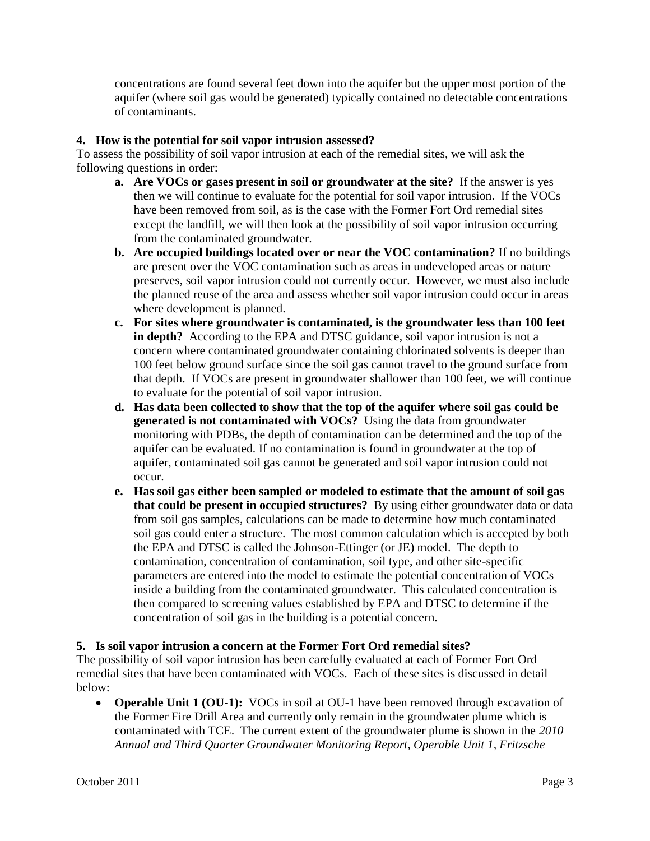concentrations are found several feet down into the aquifer but the upper most portion of the aquifer (where soil gas would be generated) typically contained no detectable concentrations of contaminants.

# **4. How is the potential for soil vapor intrusion assessed?**

To assess the possibility of soil vapor intrusion at each of the remedial sites, we will ask the following questions in order:

- **a. Are VOCs or gases present in soil or groundwater at the site?** If the answer is yes then we will continue to evaluate for the potential for soil vapor intrusion. If the VOCs have been removed from soil, as is the case with the Former Fort Ord remedial sites except the landfill, we will then look at the possibility of soil vapor intrusion occurring from the contaminated groundwater.
- **b. Are occupied buildings located over or near the VOC contamination?** If no buildings are present over the VOC contamination such as areas in undeveloped areas or nature preserves, soil vapor intrusion could not currently occur. However, we must also include the planned reuse of the area and assess whether soil vapor intrusion could occur in areas where development is planned.
- **c. For sites where groundwater is contaminated, is the groundwater less than 100 feet in depth?** According to the EPA and DTSC guidance, soil vapor intrusion is not a concern where contaminated groundwater containing chlorinated solvents is deeper than 100 feet below ground surface since the soil gas cannot travel to the ground surface from that depth. If VOCs are present in groundwater shallower than 100 feet, we will continue to evaluate for the potential of soil vapor intrusion.
- **d. Has data been collected to show that the top of the aquifer where soil gas could be generated is not contaminated with VOCs?** Using the data from groundwater monitoring with PDBs, the depth of contamination can be determined and the top of the aquifer can be evaluated. If no contamination is found in groundwater at the top of aquifer, contaminated soil gas cannot be generated and soil vapor intrusion could not occur.
- **e. Has soil gas either been sampled or modeled to estimate that the amount of soil gas that could be present in occupied structures?** By using either groundwater data or data from soil gas samples, calculations can be made to determine how much contaminated soil gas could enter a structure. The most common calculation which is accepted by both the EPA and DTSC is called the Johnson-Ettinger (or JE) model. The depth to contamination, concentration of contamination, soil type, and other site-specific parameters are entered into the model to estimate the potential concentration of VOCs inside a building from the contaminated groundwater. This calculated concentration is then compared to screening values established by EPA and DTSC to determine if the concentration of soil gas in the building is a potential concern.

#### **5. Is soil vapor intrusion a concern at the Former Fort Ord remedial sites?**

The possibility of soil vapor intrusion has been carefully evaluated at each of Former Fort Ord remedial sites that have been contaminated with VOCs. Each of these sites is discussed in detail below:

• **Operable Unit 1 (OU-1):** VOCs in soil at OU-1 have been removed through excavation of the Former Fire Drill Area and currently only remain in the groundwater plume which is contaminated with TCE. The current extent of the groundwater plume is shown in the *2010 Annual and Third Quarter Groundwater Monitoring Report, Operable Unit 1, Fritzsche*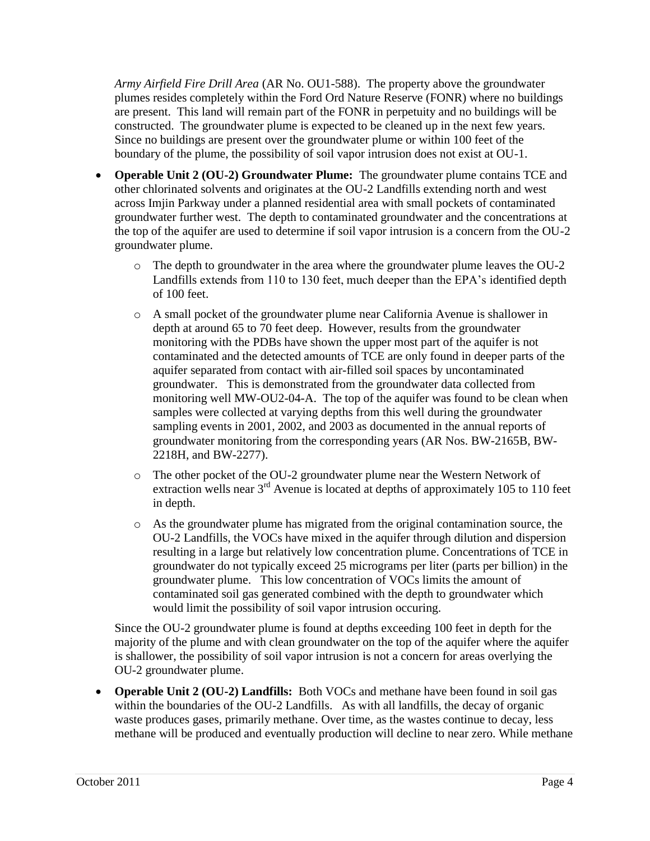*Army Airfield Fire Drill Area* (AR No. OU1-588). The property above the groundwater plumes resides completely within the Ford Ord Nature Reserve (FONR) where no buildings are present. This land will remain part of the FONR in perpetuity and no buildings will be constructed. The groundwater plume is expected to be cleaned up in the next few years. Since no buildings are present over the groundwater plume or within 100 feet of the boundary of the plume, the possibility of soil vapor intrusion does not exist at OU-1.

- **Operable Unit 2 (OU-2) Groundwater Plume:** The groundwater plume contains TCE and other chlorinated solvents and originates at the OU-2 Landfills extending north and west across Imjin Parkway under a planned residential area with small pockets of contaminated groundwater further west. The depth to contaminated groundwater and the concentrations at the top of the aquifer are used to determine if soil vapor intrusion is a concern from the OU-2 groundwater plume.
	- o The depth to groundwater in the area where the groundwater plume leaves the OU-2 Landfills extends from 110 to 130 feet, much deeper than the EPA's identified depth of 100 feet.
	- o A small pocket of the groundwater plume near California Avenue is shallower in depth at around 65 to 70 feet deep. However, results from the groundwater monitoring with the PDBs have shown the upper most part of the aquifer is not contaminated and the detected amounts of TCE are only found in deeper parts of the aquifer separated from contact with air-filled soil spaces by uncontaminated groundwater. This is demonstrated from the groundwater data collected from monitoring well MW-OU2-04-A. The top of the aquifer was found to be clean when samples were collected at varying depths from this well during the groundwater sampling events in 2001, 2002, and 2003 as documented in the annual reports of groundwater monitoring from the corresponding years (AR Nos. BW-2165B, BW-2218H, and BW-2277).
	- o The other pocket of the OU-2 groundwater plume near the Western Network of extraction wells near 3<sup>rd</sup> Avenue is located at depths of approximately 105 to 110 feet in depth.
	- o As the groundwater plume has migrated from the original contamination source, the OU-2 Landfills, the VOCs have mixed in the aquifer through dilution and dispersion resulting in a large but relatively low concentration plume. Concentrations of TCE in groundwater do not typically exceed 25 micrograms per liter (parts per billion) in the groundwater plume. This low concentration of VOCs limits the amount of contaminated soil gas generated combined with the depth to groundwater which would limit the possibility of soil vapor intrusion occuring.

Since the OU-2 groundwater plume is found at depths exceeding 100 feet in depth for the majority of the plume and with clean groundwater on the top of the aquifer where the aquifer is shallower, the possibility of soil vapor intrusion is not a concern for areas overlying the OU-2 groundwater plume.

• **Operable Unit 2 (OU-2) Landfills:** Both VOCs and methane have been found in soil gas within the boundaries of the OU-2 Landfills. As with all landfills, the decay of organic waste produces gases, primarily methane. Over time, as the wastes continue to decay, less methane will be produced and eventually production will decline to near zero. While methane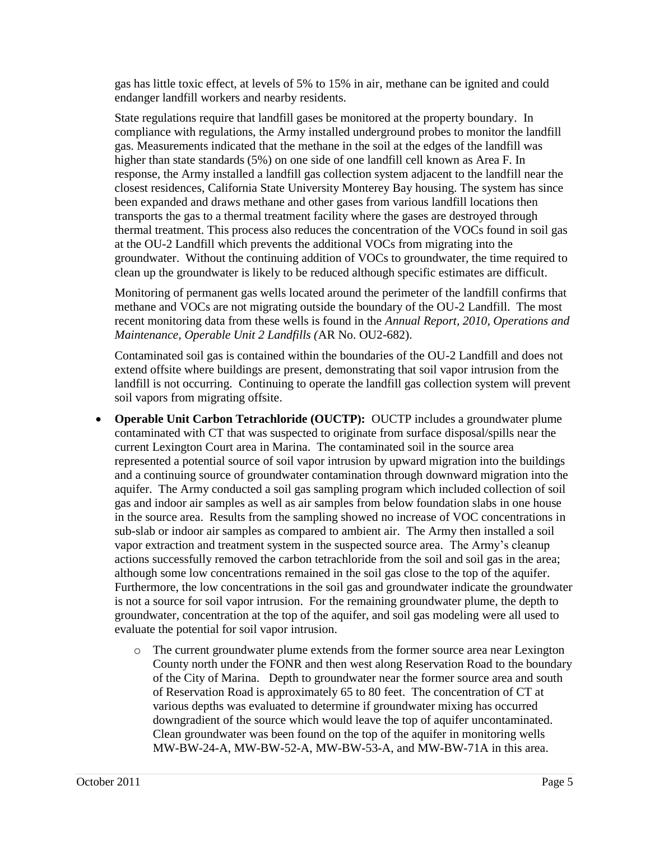gas has little toxic effect, at levels of 5% to 15% in air, methane can be ignited and could endanger landfill workers and nearby residents.

State regulations require that landfill gases be monitored at the property boundary. In compliance with regulations, the Army installed underground probes to monitor the landfill gas. Measurements indicated that the methane in the soil at the edges of the landfill was higher than state standards (5%) on one side of one landfill cell known as Area F. In response, the Army installed a landfill gas collection system adjacent to the landfill near the closest residences, California State University Monterey Bay housing. The system has since been expanded and draws methane and other gases from various landfill locations then transports the gas to a thermal treatment facility where the gases are destroyed through thermal treatment. This process also reduces the concentration of the VOCs found in soil gas at the OU-2 Landfill which prevents the additional VOCs from migrating into the groundwater. Without the continuing addition of VOCs to groundwater, the time required to clean up the groundwater is likely to be reduced although specific estimates are difficult.

Monitoring of permanent gas wells located around the perimeter of the landfill confirms that methane and VOCs are not migrating outside the boundary of the OU-2 Landfill. The most recent monitoring data from these wells is found in the *Annual Report, 2010, Operations and Maintenance, Operable Unit 2 Landfills (*AR No. OU2-682).

Contaminated soil gas is contained within the boundaries of the OU-2 Landfill and does not extend offsite where buildings are present, demonstrating that soil vapor intrusion from the landfill is not occurring. Continuing to operate the landfill gas collection system will prevent soil vapors from migrating offsite.

- **Operable Unit Carbon Tetrachloride (OUCTP):** OUCTP includes a groundwater plume contaminated with CT that was suspected to originate from surface disposal/spills near the current Lexington Court area in Marina. The contaminated soil in the source area represented a potential source of soil vapor intrusion by upward migration into the buildings and a continuing source of groundwater contamination through downward migration into the aquifer. The Army conducted a soil gas sampling program which included collection of soil gas and indoor air samples as well as air samples from below foundation slabs in one house in the source area. Results from the sampling showed no increase of VOC concentrations in sub-slab or indoor air samples as compared to ambient air. The Army then installed a soil vapor extraction and treatment system in the suspected source area. The Army's cleanup actions successfully removed the carbon tetrachloride from the soil and soil gas in the area; although some low concentrations remained in the soil gas close to the top of the aquifer. Furthermore, the low concentrations in the soil gas and groundwater indicate the groundwater is not a source for soil vapor intrusion. For the remaining groundwater plume, the depth to groundwater, concentration at the top of the aquifer, and soil gas modeling were all used to evaluate the potential for soil vapor intrusion.
	- o The current groundwater plume extends from the former source area near Lexington County north under the FONR and then west along Reservation Road to the boundary of the City of Marina. Depth to groundwater near the former source area and south of Reservation Road is approximately 65 to 80 feet. The concentration of CT at various depths was evaluated to determine if groundwater mixing has occurred downgradient of the source which would leave the top of aquifer uncontaminated. Clean groundwater was been found on the top of the aquifer in monitoring wells MW-BW-24-A, MW-BW-52-A, MW-BW-53-A, and MW-BW-71A in this area.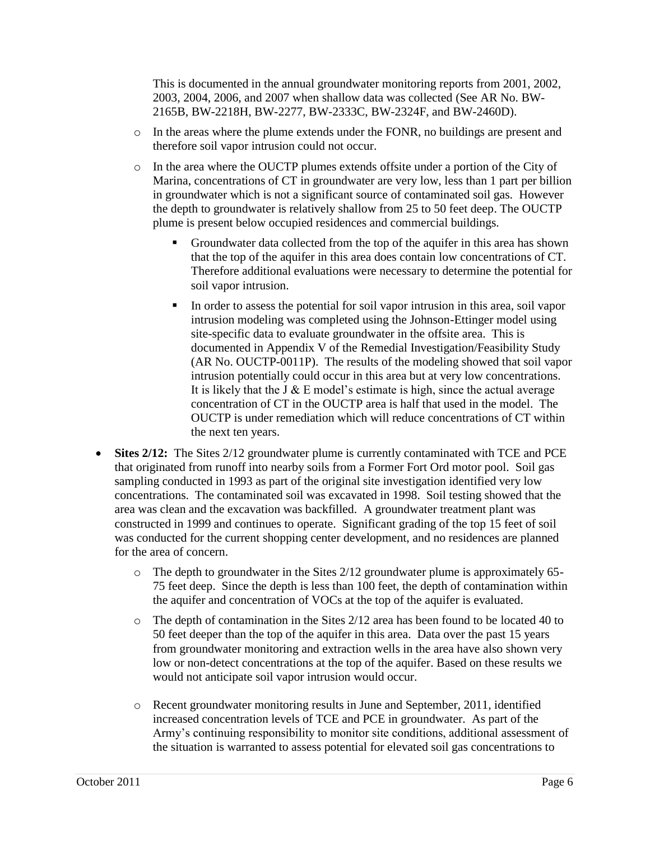This is documented in the annual groundwater monitoring reports from 2001, 2002, 2003, 2004, 2006, and 2007 when shallow data was collected (See AR No. BW-2165B, BW-2218H, BW-2277, BW-2333C, BW-2324F, and BW-2460D).

- o In the areas where the plume extends under the FONR, no buildings are present and therefore soil vapor intrusion could not occur.
- o In the area where the OUCTP plumes extends offsite under a portion of the City of Marina, concentrations of CT in groundwater are very low, less than 1 part per billion in groundwater which is not a significant source of contaminated soil gas. However the depth to groundwater is relatively shallow from 25 to 50 feet deep. The OUCTP plume is present below occupied residences and commercial buildings.
	- Groundwater data collected from the top of the aquifer in this area has shown that the top of the aquifer in this area does contain low concentrations of CT. Therefore additional evaluations were necessary to determine the potential for soil vapor intrusion.
	- In order to assess the potential for soil vapor intrusion in this area, soil vapor intrusion modeling was completed using the Johnson-Ettinger model using site-specific data to evaluate groundwater in the offsite area. This is documented in Appendix V of the Remedial Investigation/Feasibility Study (AR No. OUCTP-0011P). The results of the modeling showed that soil vapor intrusion potentially could occur in this area but at very low concentrations. It is likely that the J  $&$  E model's estimate is high, since the actual average concentration of CT in the OUCTP area is half that used in the model. The OUCTP is under remediation which will reduce concentrations of CT within the next ten years.
- Sites 2/12: The Sites 2/12 groundwater plume is currently contaminated with TCE and PCE that originated from runoff into nearby soils from a Former Fort Ord motor pool. Soil gas sampling conducted in 1993 as part of the original site investigation identified very low concentrations. The contaminated soil was excavated in 1998. Soil testing showed that the area was clean and the excavation was backfilled. A groundwater treatment plant was constructed in 1999 and continues to operate. Significant grading of the top 15 feet of soil was conducted for the current shopping center development, and no residences are planned for the area of concern.
	- o The depth to groundwater in the Sites 2/12 groundwater plume is approximately 65- 75 feet deep. Since the depth is less than 100 feet, the depth of contamination within the aquifer and concentration of VOCs at the top of the aquifer is evaluated.
	- $\circ$  The depth of contamination in the Sites 2/12 area has been found to be located 40 to 50 feet deeper than the top of the aquifer in this area. Data over the past 15 years from groundwater monitoring and extraction wells in the area have also shown very low or non-detect concentrations at the top of the aquifer. Based on these results we would not anticipate soil vapor intrusion would occur.
	- o Recent groundwater monitoring results in June and September, 2011, identified increased concentration levels of TCE and PCE in groundwater. As part of the Army's continuing responsibility to monitor site conditions, additional assessment of the situation is warranted to assess potential for elevated soil gas concentrations to